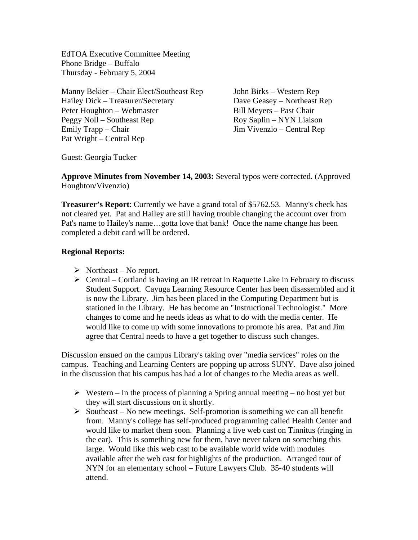EdTOA Executive Committee Meeting Phone Bridge – Buffalo Thursday - February 5, 2004

Manny Bekier – Chair Elect/Southeast Rep John Birks – Western Rep Hailey Dick – Treasurer/Secretary Dave Geasey – Northeast Rep Peter Houghton – Webmaster Bill Meyers – Past Chair Peggy Noll – Southeast Rep Roy Saplin – NYN Liaison Emily Trapp – Chair Jim Vivenzio – Central Rep Pat Wright – Central Rep

Guest: Georgia Tucker

**Approve Minutes from November 14, 2003:** Several typos were corrected. (Approved Houghton/Vivenzio)

**Treasurer's Report**: Currently we have a grand total of \$5762.53. Manny's check has not cleared yet. Pat and Hailey are still having trouble changing the account over from Pat's name to Hailey's name…gotta love that bank! Once the name change has been completed a debit card will be ordered.

## **Regional Reports:**

- $\triangleright$  Northeast No report.
- $\triangleright$  Central Cortland is having an IR retreat in Raquette Lake in February to discuss Student Support. Cayuga Learning Resource Center has been disassembled and it is now the Library. Jim has been placed in the Computing Department but is stationed in the Library. He has become an "Instructional Technologist." More changes to come and he needs ideas as what to do with the media center. He would like to come up with some innovations to promote his area. Pat and Jim agree that Central needs to have a get together to discuss such changes.

Discussion ensued on the campus Library's taking over "media services" roles on the campus. Teaching and Learning Centers are popping up across SUNY. Dave also joined in the discussion that his campus has had a lot of changes to the Media areas as well.

- $\triangleright$  Western In the process of planning a Spring annual meeting no host yet but they will start discussions on it shortly.
- $\triangleright$  Southeast No new meetings. Self-promotion is something we can all benefit from. Manny's college has self-produced programming called Health Center and would like to market them soon. Planning a live web cast on Tinnitus (ringing in the ear). This is something new for them, have never taken on something this large. Would like this web cast to be available world wide with modules available after the web cast for highlights of the production. Arranged tour of NYN for an elementary school – Future Lawyers Club. 35-40 students will attend.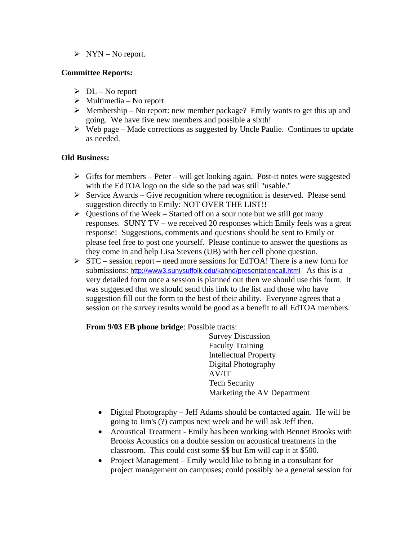$\triangleright$  NYN – No report.

## **Committee Reports:**

- $\triangleright$  DL No report
- $\triangleright$  Multimedia No report
- $\triangleright$  Membership No report: new member package? Emily wants to get this up and going. We have five new members and possible a sixth!
- $\triangleright$  Web page Made corrections as suggested by Uncle Paulie. Continues to update as needed.

## **Old Business:**

- $\triangleright$  Gifts for members Peter will get looking again. Post-it notes were suggested with the EdTOA logo on the side so the pad was still "usable."
- $\triangleright$  Service Awards Give recognition where recognition is deserved. Please send suggestion directly to Emily: NOT OVER THE LIST!!
- $\triangleright$  Questions of the Week Started off on a sour note but we still got many responses. SUNY TV – we received 20 responses which Emily feels was a great response! Suggestions, comments and questions should be sent to Emily or please feel free to post one yourself. Please continue to answer the questions as they come in and help Lisa Stevens (UB) with her cell phone question.
- $\triangleright$  STC session report need more sessions for EdTOA! There is a new form for submissions: http://www3.sunysuffolk.edu/kahnd/presentationcall.html As this is a very detailed form once a session is planned out then we should use this form. It was suggested that we should send this link to the list and those who have suggestion fill out the form to the best of their ability. Everyone agrees that a session on the survey results would be good as a benefit to all EdTOA members.

#### **From 9/03 EB phone bridge**: Possible tracts:

 Survey Discussion Faculty Training Intellectual Property Digital Photography AV/IT Tech Security Marketing the AV Department

- Digital Photography Jeff Adams should be contacted again. He will be going to Jim's (?) campus next week and he will ask Jeff then.
- Acoustical Treatment Emily has been working with Bennet Brooks with Brooks Acoustics on a double session on acoustical treatments in the classroom. This could cost some \$\$ but Em will cap it at \$500.
- Project Management Emily would like to bring in a consultant for project management on campuses; could possibly be a general session for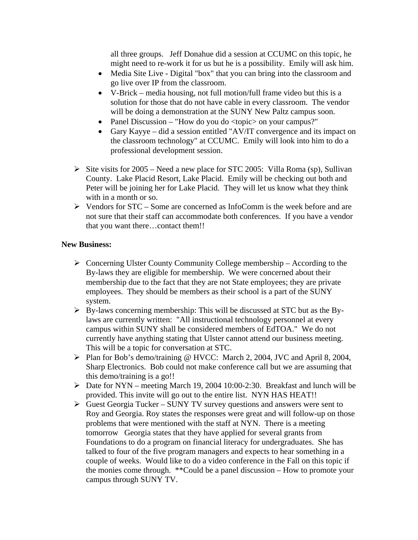all three groups. Jeff Donahue did a session at CCUMC on this topic, he might need to re-work it for us but he is a possibility. Emily will ask him.

- Media Site Live Digital "box" that you can bring into the classroom and go live over IP from the classroom.
- V-Brick media housing, not full motion/full frame video but this is a solution for those that do not have cable in every classroom. The vendor will be doing a demonstration at the SUNY New Paltz campus soon.
- Panel Discussion "How do you do <topic> on your campus?"
- Gary Kayye did a session entitled "AV/IT convergence and its impact on the classroom technology" at CCUMC. Emily will look into him to do a professional development session.
- $\triangleright$  Site visits for 2005 Need a new place for STC 2005: Villa Roma (sp), Sullivan County. Lake Placid Resort, Lake Placid. Emily will be checking out both and Peter will be joining her for Lake Placid. They will let us know what they think with in a month or so.
- $\triangleright$  Vendors for STC Some are concerned as InfoComm is the week before and are not sure that their staff can accommodate both conferences. If you have a vendor that you want there…contact them!!

#### **New Business:**

- $\triangleright$  Concerning Ulster County Community College membership According to the By-laws they are eligible for membership. We were concerned about their membership due to the fact that they are not State employees; they are private employees. They should be members as their school is a part of the SUNY system.
- $\triangleright$  By-laws concerning membership: This will be discussed at STC but as the Bylaws are currently written: "All instructional technology personnel at every campus within SUNY shall be considered members of EdTOA." We do not currently have anything stating that Ulster cannot attend our business meeting. This will be a topic for conversation at STC.
- ¾ Plan for Bob's demo/training @ HVCC: March 2, 2004, JVC and April 8, 2004, Sharp Electronics. Bob could not make conference call but we are assuming that this demo/training is a go!!
- $\triangleright$  Date for NYN meeting March 19, 2004 10:00-2:30. Breakfast and lunch will be provided. This invite will go out to the entire list. NYN HAS HEAT!!
- $\triangleright$  Guest Georgia Tucker SUNY TV survey questions and answers were sent to Roy and Georgia. Roy states the responses were great and will follow-up on those problems that were mentioned with the staff at NYN. There is a meeting tomorrow Georgia states that they have applied for several grants from Foundations to do a program on financial literacy for undergraduates. She has talked to four of the five program managers and expects to hear something in a couple of weeks. Would like to do a video conference in the Fall on this topic if the monies come through. \*\*Could be a panel discussion – How to promote your campus through SUNY TV.